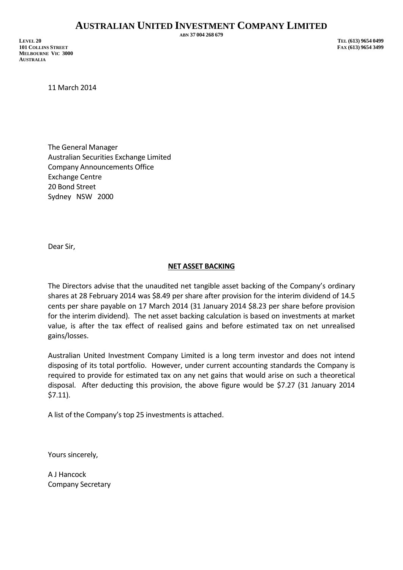## **AUSTRALIAN UNITED INVESTMENT COMPANY LIMITED**

**LEVEL 20 TEL (613) 9654 0499 101 COLLINS STREET FAX (613) 9654 3499 MELBOURNE VIC 3000 AUSTRALIA**

**ABN 37 004 268 679**

11 March 2014

The General Manager Australian Securities Exchange Limited Company Announcements Office Exchange Centre 20 Bond Street Sydney NSW 2000

Dear Sir,

## **NET ASSET BACKING**

The Directors advise that the unaudited net tangible asset backing of the Company's ordinary shares at 28 February 2014 was \$8.49 per share after provision for the interim dividend of 14.5 cents per share payable on 17 March 2014 (31 January 2014 \$8.23 per share before provision for the interim dividend). The net asset backing calculation is based on investments at market value, is after the tax effect of realised gains and before estimated tax on net unrealised gains/losses.

Australian United Investment Company Limited is a long term investor and does not intend disposing of its total portfolio. However, under current accounting standards the Company is required to provide for estimated tax on any net gains that would arise on such a theoretical disposal. After deducting this provision, the above figure would be \$7.27 (31 January 2014 \$7.11).

A list of the Company's top 25 investments is attached.

Yours sincerely,

A J Hancock Company Secretary